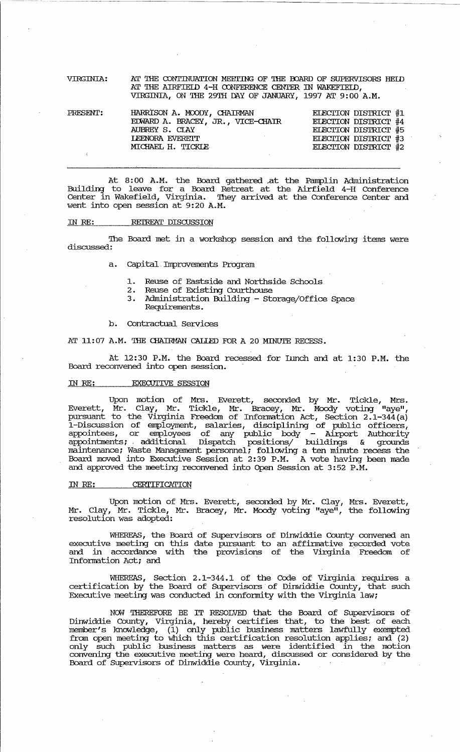VIRGINIA: AT THE CONTINUATION MEETING OF THE BOARD OF SUPERVISORS HELD AT THE AIRFIELD  $4-H$  CONFERENCE CENTER IN WAKEFIEID, VIRGINIA, ON THE 29TH DAY OF JANUARY, 1997 AT 9:00 A.M.

| PRESENT: | HARRISON A. MOODY, CHAIRMAN       | ELECTION DISTRICT #1 |
|----------|-----------------------------------|----------------------|
|          | EDWARD A. BRACEY, JR., VICE-CHAIR | ELECTION DISTRICT #4 |
|          | AUBREY S. CIAY                    | ELECTION DISTRICT #5 |
|          | LEENORA EVERETT                   | ELECTION DISTRICT #3 |
|          | MICHAEL H. TICKIE                 | ELECTION DISTRICT #2 |
|          |                                   |                      |

At 8:00 A.M. the Board gathered at the Pamplin Administration Building to leave for a Board Retreat at the Airfield 4-H Conference Center in Wakefield, Virginia. They arrived at the Conference Center and went into open session at 9:20 A.M.

## IN RE: RETREAT DISCUSSION

The Board met in a workshop session and the following items were discussed:

- a. capital. Improvements Program
	- 1. Reuse of Eastside and Northside Schools<br>2. Reuse of Existing Courthouse
	- 2. Reuse of Existing Courthouse
	- 3. Administration Building Storage/Office Space Requirements.
- b. Contractual Services

AT 11:07 A.M. THE CHAIRMAN CALLED FOR A 20 MINUTE RECESS.

At 12:30 P.M. the Board recessed for Lunch and at 1:30 P.M. the Board reconvened into open session.

## IN RE: EXECUTIVE SESSION

Upon motion of Mrs. Everett, seconded by Mr. Tickle, Mrs. Everett, Mr. Clay, Mr. Tickle, Mr. Bracey, Mr. Moody voting "aye", pursuant to the Virginia Freedom of Information Act, Section 2.1-344 (a) I-Discussion of employment, salaries, discipl.ining of public officers, appointees, or employees of any public body - Airport Authority appointments; additional Dispatch positions/ buildings & grounds maintenance; Waste Management personnel; following a ten minute recess the Board moved into Executive Session at 2:39 P.M. A vote having been made and approved the meeting reconvened into Open Session at 3:52 P.M.

## IN RE: CERTIFICATION

Upon motion of Mrs. Everett, seconded by Mr. Clay, Mrs. Everett, Mr. Clay, Mr. Tickle, Mr. Bracey, Mr. Moody voting "aye", the following resolution was adopted:

WHEREAS, the Board of Supervisors of Dinwiddie County convened an executive meeting on this date pursuant to an affinnative recorded vote and in accordance with the provisions of the Virginia Freedom of Information Act; and

WHEREAS, Section 2.1-344.1 of the Code of Virginia requires a certification by the Board of Supervisors' of Dinwiddie County, that such Executive meeting was conducted in conformity with the Virginia law;

NOW THEREFORE BE IT RESOLVED that the Board of Supervisors of Dinwiddie County, Virginia, hereby certifies that, to the best of each member's Jmowledge, (1) only public business matters lawfully exempted from open meeting to which this certification resolution applies; and (2) only such public business matters as were identified in the motion convening the executive meeting were heard, discussed or considered by the Board of Supervisors of Dinwiddie County, Virginia.